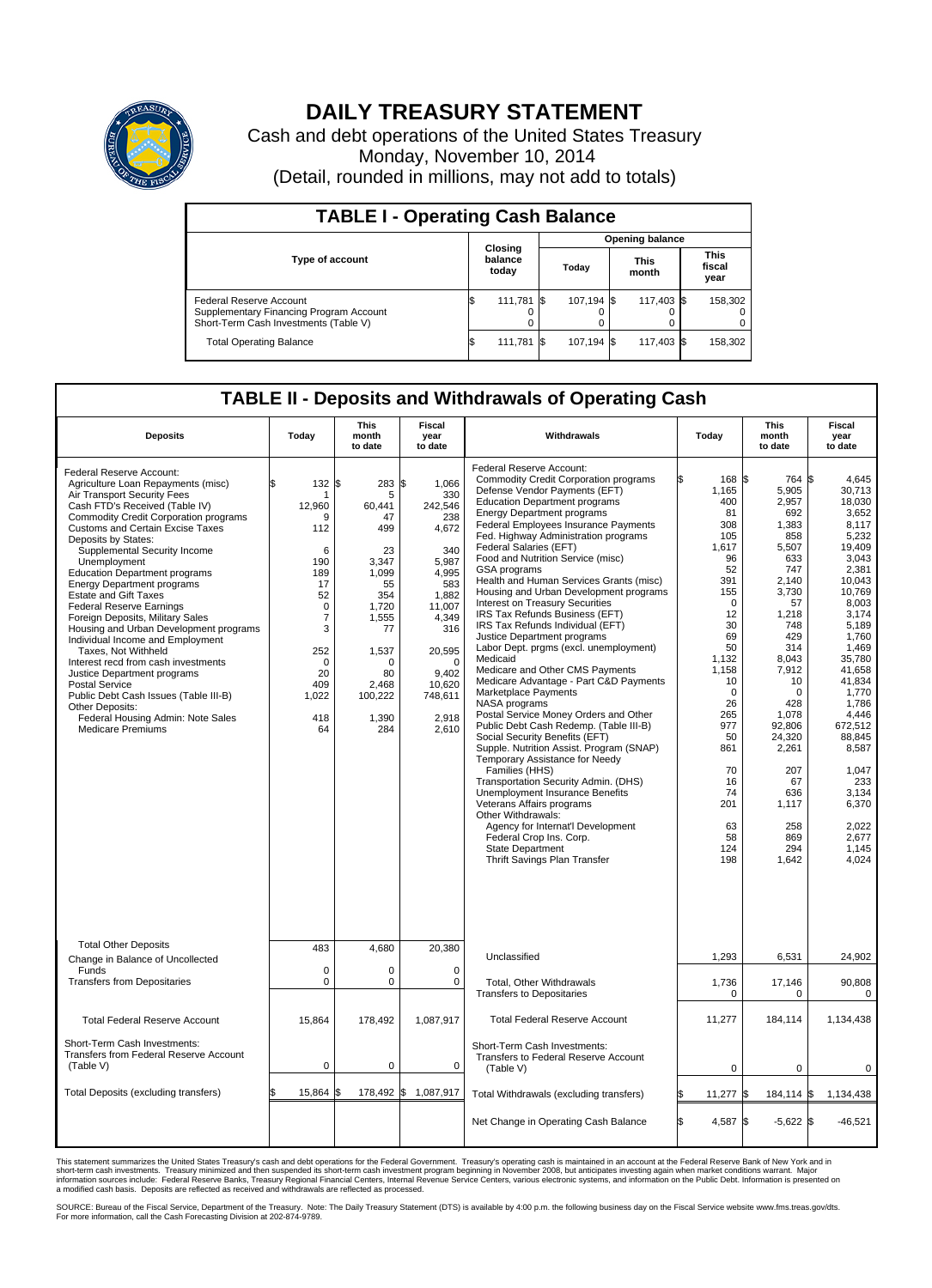

## **DAILY TREASURY STATEMENT**

Cash and debt operations of the United States Treasury Monday, November 10, 2014 (Detail, rounded in millions, may not add to totals)

| <b>TABLE I - Operating Cash Balance</b>                                                                     |     |                             |       |                 |  |                      |  |                               |  |  |  |
|-------------------------------------------------------------------------------------------------------------|-----|-----------------------------|-------|-----------------|--|----------------------|--|-------------------------------|--|--|--|
|                                                                                                             |     |                             |       | Opening balance |  |                      |  |                               |  |  |  |
| <b>Type of account</b>                                                                                      |     | Closing<br>balance<br>today | Today |                 |  | <b>This</b><br>month |  | <b>This</b><br>fiscal<br>year |  |  |  |
| Federal Reserve Account<br>Supplementary Financing Program Account<br>Short-Term Cash Investments (Table V) |     | 111,781                     | - IS  | 107.194 \$      |  | 117.403 \$           |  | 158,302                       |  |  |  |
| <b>Total Operating Balance</b>                                                                              | I\$ | 111,781                     | - IS  | 107,194 \$      |  | 117,403 \$           |  | 158,302                       |  |  |  |

## **TABLE II - Deposits and Withdrawals of Operating Cash**

| <b>Deposits</b>                                                                                                                                                                                                                                                                                                                                                                                                                                                                                                                                                                                                                                                                                                                                                                                          | Today                                                                                                                                                                 | <b>This</b><br>month<br>to date                                                                                                                             | <b>Fiscal</b><br>year<br>to date                                                                                                                                                       | Withdrawals                                                                                                                                                                                                                                                                                                                                                                                                                                                                                                                                                                                                                                                                                                                                                                                                                                                                                                                                                                                                                                                                                                                                                                                                                                                | Today                                                                                                                                                                                                                                        | <b>This</b><br>month<br>to date                                                                                                                                                                                                                                             | Fiscal<br>year<br>to date                                                                                                                                                                                                                                                                                      |
|----------------------------------------------------------------------------------------------------------------------------------------------------------------------------------------------------------------------------------------------------------------------------------------------------------------------------------------------------------------------------------------------------------------------------------------------------------------------------------------------------------------------------------------------------------------------------------------------------------------------------------------------------------------------------------------------------------------------------------------------------------------------------------------------------------|-----------------------------------------------------------------------------------------------------------------------------------------------------------------------|-------------------------------------------------------------------------------------------------------------------------------------------------------------|----------------------------------------------------------------------------------------------------------------------------------------------------------------------------------------|------------------------------------------------------------------------------------------------------------------------------------------------------------------------------------------------------------------------------------------------------------------------------------------------------------------------------------------------------------------------------------------------------------------------------------------------------------------------------------------------------------------------------------------------------------------------------------------------------------------------------------------------------------------------------------------------------------------------------------------------------------------------------------------------------------------------------------------------------------------------------------------------------------------------------------------------------------------------------------------------------------------------------------------------------------------------------------------------------------------------------------------------------------------------------------------------------------------------------------------------------------|----------------------------------------------------------------------------------------------------------------------------------------------------------------------------------------------------------------------------------------------|-----------------------------------------------------------------------------------------------------------------------------------------------------------------------------------------------------------------------------------------------------------------------------|----------------------------------------------------------------------------------------------------------------------------------------------------------------------------------------------------------------------------------------------------------------------------------------------------------------|
| Federal Reserve Account:<br>Agriculture Loan Repayments (misc)<br>Air Transport Security Fees<br>Cash FTD's Received (Table IV)<br>Commodity Credit Corporation programs<br><b>Customs and Certain Excise Taxes</b><br>Deposits by States:<br>Supplemental Security Income<br>Unemployment<br><b>Education Department programs</b><br><b>Energy Department programs</b><br><b>Estate and Gift Taxes</b><br><b>Federal Reserve Earnings</b><br>Foreign Deposits, Military Sales<br>Housing and Urban Development programs<br>Individual Income and Employment<br>Taxes, Not Withheld<br>Interest recd from cash investments<br>Justice Department programs<br>Postal Service<br>Public Debt Cash Issues (Table III-B)<br>Other Deposits:<br>Federal Housing Admin: Note Sales<br><b>Medicare Premiums</b> | 132S<br>\$.<br>-1<br>12,960<br>q<br>112<br>6<br>190<br>189<br>17<br>52<br>$\mathbf 0$<br>$\overline{7}$<br>3<br>252<br>$\mathbf 0$<br>20<br>409<br>1,022<br>418<br>64 | 283<br>5<br>60.441<br>47<br>499<br>23<br>3,347<br>1,099<br>55<br>354<br>1,720<br>1,555<br>77<br>1,537<br>$\Omega$<br>80<br>2.468<br>100,222<br>1,390<br>284 | \$<br>1,066<br>330<br>242,546<br>238<br>4,672<br>340<br>5.987<br>4,995<br>583<br>1,882<br>11,007<br>4,349<br>316<br>20,595<br>$\Omega$<br>9.402<br>10,620<br>748,611<br>2,918<br>2,610 | Federal Reserve Account:<br><b>Commodity Credit Corporation programs</b><br>Defense Vendor Payments (EFT)<br><b>Education Department programs</b><br><b>Energy Department programs</b><br><b>Federal Employees Insurance Payments</b><br>Fed. Highway Administration programs<br>Federal Salaries (EFT)<br>Food and Nutrition Service (misc)<br><b>GSA</b> programs<br>Health and Human Services Grants (misc)<br>Housing and Urban Development programs<br>Interest on Treasury Securities<br>IRS Tax Refunds Business (EFT)<br>IRS Tax Refunds Individual (EFT)<br>Justice Department programs<br>Labor Dept. prgms (excl. unemployment)<br>Medicaid<br>Medicare and Other CMS Payments<br>Medicare Advantage - Part C&D Payments<br>Marketplace Payments<br>NASA programs<br>Postal Service Money Orders and Other<br>Public Debt Cash Redemp. (Table III-B)<br>Social Security Benefits (EFT)<br>Supple. Nutrition Assist. Program (SNAP)<br>Temporary Assistance for Needy<br>Families (HHS)<br>Transportation Security Admin. (DHS)<br>Unemployment Insurance Benefits<br>Veterans Affairs programs<br>Other Withdrawals:<br>Agency for Internat'l Development<br>Federal Crop Ins. Corp.<br><b>State Department</b><br>Thrift Savings Plan Transfer | 168 \$<br>1,165<br>400<br>81<br>308<br>105<br>1,617<br>96<br>52<br>391<br>155<br>$\Omega$<br>12<br>30<br>69<br>50<br>1,132<br>1,158<br>10<br>$\mathbf 0$<br>26<br>265<br>977<br>50<br>861<br>70<br>16<br>74<br>201<br>63<br>58<br>124<br>198 | 764 \$<br>5,905<br>2,957<br>692<br>1,383<br>858<br>5,507<br>633<br>747<br>2,140<br>3,730<br>57<br>1,218<br>748<br>429<br>314<br>8,043<br>7,912<br>10<br>$\mathbf 0$<br>428<br>1,078<br>92,806<br>24,320<br>2,261<br>207<br>67<br>636<br>1,117<br>258<br>869<br>294<br>1,642 | 4.645<br>30,713<br>18,030<br>3,652<br>8,117<br>5.232<br>19,409<br>3,043<br>2,381<br>10,043<br>10,769<br>8,003<br>3.174<br>5,189<br>1,760<br>1,469<br>35,780<br>41,658<br>41,834<br>1,770<br>1,786<br>4,446<br>672,512<br>88.845<br>8,587<br>1.047<br>233<br>3,134<br>6,370<br>2,022<br>2,677<br>1.145<br>4,024 |
| <b>Total Other Deposits</b><br>Change in Balance of Uncollected                                                                                                                                                                                                                                                                                                                                                                                                                                                                                                                                                                                                                                                                                                                                          | 483                                                                                                                                                                   | 4,680                                                                                                                                                       | 20,380                                                                                                                                                                                 | Unclassified                                                                                                                                                                                                                                                                                                                                                                                                                                                                                                                                                                                                                                                                                                                                                                                                                                                                                                                                                                                                                                                                                                                                                                                                                                               | 1,293                                                                                                                                                                                                                                        | 6,531                                                                                                                                                                                                                                                                       | 24,902                                                                                                                                                                                                                                                                                                         |
| Funds<br><b>Transfers from Depositaries</b>                                                                                                                                                                                                                                                                                                                                                                                                                                                                                                                                                                                                                                                                                                                                                              | $\mathbf 0$<br>$\mathbf 0$                                                                                                                                            | 0<br>0                                                                                                                                                      | $\mathbf 0$<br>$\mathbf 0$                                                                                                                                                             | Total, Other Withdrawals<br><b>Transfers to Depositaries</b>                                                                                                                                                                                                                                                                                                                                                                                                                                                                                                                                                                                                                                                                                                                                                                                                                                                                                                                                                                                                                                                                                                                                                                                               | 1,736<br>$\mathbf 0$                                                                                                                                                                                                                         | 17,146<br>0                                                                                                                                                                                                                                                                 | 90,808<br>$\mathbf 0$                                                                                                                                                                                                                                                                                          |
| <b>Total Federal Reserve Account</b>                                                                                                                                                                                                                                                                                                                                                                                                                                                                                                                                                                                                                                                                                                                                                                     | 15,864                                                                                                                                                                | 178,492                                                                                                                                                     | 1,087,917                                                                                                                                                                              | <b>Total Federal Reserve Account</b>                                                                                                                                                                                                                                                                                                                                                                                                                                                                                                                                                                                                                                                                                                                                                                                                                                                                                                                                                                                                                                                                                                                                                                                                                       | 11,277                                                                                                                                                                                                                                       | 184,114                                                                                                                                                                                                                                                                     | 1,134,438                                                                                                                                                                                                                                                                                                      |
| Short-Term Cash Investments:<br>Transfers from Federal Reserve Account<br>(Table V)                                                                                                                                                                                                                                                                                                                                                                                                                                                                                                                                                                                                                                                                                                                      | $\pmb{0}$                                                                                                                                                             | 0                                                                                                                                                           | $\mathbf 0$                                                                                                                                                                            | Short-Term Cash Investments:<br>Transfers to Federal Reserve Account<br>(Table V)                                                                                                                                                                                                                                                                                                                                                                                                                                                                                                                                                                                                                                                                                                                                                                                                                                                                                                                                                                                                                                                                                                                                                                          | $\mathbf 0$                                                                                                                                                                                                                                  | $\mathbf 0$                                                                                                                                                                                                                                                                 | 0                                                                                                                                                                                                                                                                                                              |
| Total Deposits (excluding transfers)                                                                                                                                                                                                                                                                                                                                                                                                                                                                                                                                                                                                                                                                                                                                                                     | 15,864<br>\$                                                                                                                                                          | ß.                                                                                                                                                          | 178,492 \$ 1,087,917                                                                                                                                                                   | Total Withdrawals (excluding transfers)                                                                                                                                                                                                                                                                                                                                                                                                                                                                                                                                                                                                                                                                                                                                                                                                                                                                                                                                                                                                                                                                                                                                                                                                                    | 11,277 \$                                                                                                                                                                                                                                    | 184,114 \$                                                                                                                                                                                                                                                                  | 1,134,438                                                                                                                                                                                                                                                                                                      |
|                                                                                                                                                                                                                                                                                                                                                                                                                                                                                                                                                                                                                                                                                                                                                                                                          |                                                                                                                                                                       |                                                                                                                                                             |                                                                                                                                                                                        | Net Change in Operating Cash Balance                                                                                                                                                                                                                                                                                                                                                                                                                                                                                                                                                                                                                                                                                                                                                                                                                                                                                                                                                                                                                                                                                                                                                                                                                       | Ŝ.<br>4,587 \$                                                                                                                                                                                                                               | $-5,622$ \$                                                                                                                                                                                                                                                                 | $-46,521$                                                                                                                                                                                                                                                                                                      |

This statement summarizes the United States Treasury's cash and debt operations for the Federal Government. Treasury's operating cash is maintained in an account at the Federal Reserve Bank of New York and in<br>short-term ca

SOURCE: Bureau of the Fiscal Service, Department of the Treasury. Note: The Daily Treasury Statement (DTS) is available by 4:00 p.m. the following business day on the Fiscal Service website www.fms.treas.gov/dts.<br>For more